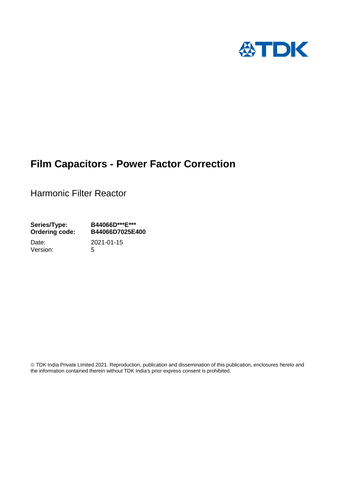

# **Film Capacitors - Power Factor Correction**

Harmonic Filter Reactor

**Series/Type: B44066D\*\*\*E\*\*\* Ordering code: B44066D7025E400**

Date: 2021-01-15 Version: 5

 TDK India Private Limited 2021. Reproduction, publication and dissemination of this publication, enclosures hereto and the information contained therein without TDK India's prior express consent is prohibited.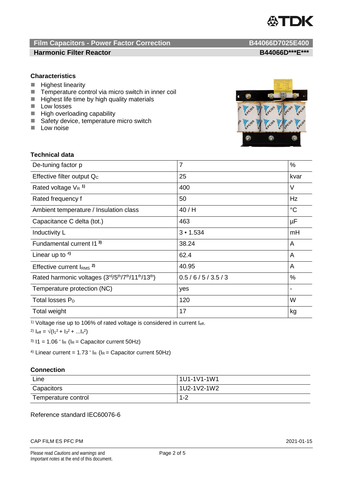

## **Film Capacitors - Power Factor Correction B44066D7025E400 Harmonic Filter Reactor B44066D\*\*\*E\*\*\***

## **Characteristics**

- **Highest linearity**
- $\blacksquare$  Temperature control via micro switch in inner coil<br> $\blacksquare$  Highest life time by high quality materials
- Highest life time by high quality materials
- **Low losses**
- **High overloading capability**
- Safety device, temperature micro switch
- $\blacksquare$  Low noise



## **Technical data**

| De-tuning factor p                              | $\overline{7}$ | %           |
|-------------------------------------------------|----------------|-------------|
| Effective filter output Q <sub>c</sub>          | 25             | kvar        |
| Rated voltage $V_R$ <sup>1)</sup>               | 400            | V           |
| Rated frequency f                               | 50             | Hz          |
| Ambient temperature / Insulation class          | 40/H           | $^{\circ}C$ |
| Capacitance C delta (tot.)                      | 463            | $\mu$ F     |
| Inductivity L                                   | 3 • 1.534      | mH          |
| Fundamental current 11 <sup>3)</sup>            | 38.24          | A           |
| Linear up to $4$ )                              | 62.4           | A           |
| Effective current $IRMS$ <sup>2)</sup>          | 40.95          | A           |
| Rated harmonic voltages (3rd/5th/7th/11th/13th) | 0.5/6/5/3.5/3  | $\%$        |
| Temperature protection (NC)                     | yes            |             |
| Total losses $P_D$                              | 120            | W           |
| Total weight                                    | 17             | kg          |

<sup>1)</sup> Voltage rise up to 106% of rated voltage is considered in current  $I_{\text{eff}}$ .

2)  $I_{\text{eff}} = \sqrt{(I_1^2 + I_3^2 + ... I_x^2)}$ 

<sup>3)</sup>  $11 = 1.06$   $\cdot$   $I_R$  ( $I_R$  = Capacitor current 50Hz)

<sup>4)</sup> Linear current =  $1.73 \cdot I_R$  ( $I_R$  = Capacitor current 50Hz)

## **Connection**

| Line                | 1U1-1V1-1W1 |
|---------------------|-------------|
| Capacitors          | 1U2-1V2-1W2 |
| Temperature control | $1 - 2$     |

## Reference standard IEC60076-6

### CAP FILM ES PFC PM 2021-01-15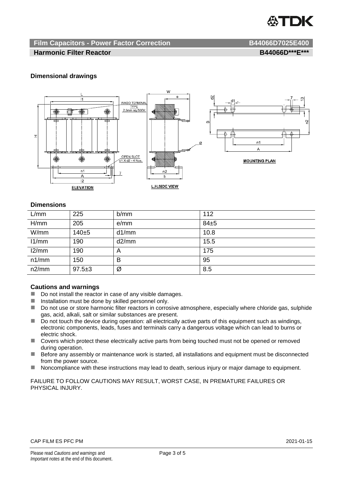

## **Film Capacitors - Power Factor Correction B44066D7025E400**

## **Harmonic Filter Reactor B44066D\*\*\*E\*\*\***

## **Dimensional drawings**



## **Dimensions**

| L/mm  | 225          | b/mm  | 112  |
|-------|--------------|-------|------|
| H/mm  | 205          | e/mm  | 84±5 |
| W/mm  | $140 + 5$    | d1/mm | 10.8 |
| 11/mm | 190          | d2/mm | 15.5 |
| 12/mm | 190          | A     | 175  |
| n1/mm | 150          | в     | 95   |
| n2/mm | $97.5 \pm 3$ | Ø     | 8.5  |

## **Cautions and warnings**

- Do not install the reactor in case of any visible damages.
- $\blacksquare$  Installation must be done by skilled personnel only.
- Do not use or store harmonic filter reactors in corrosive atmosphere, especially where chloride gas, sulphide gas, acid, alkali, salt or similar substances are present.
- $\Box$  Do not touch the device during operation: all electrically active parts of this equipment such as windings, electronic components, leads, fuses and terminals carry a dangerous voltage which can lead to burns or electric shock.
- Covers which protect these electrically active parts from being touched must not be opened or removed during operation.
- Before any assembly or maintenance work is started, all installations and equipment must be disconnected from the power source.
- Noncompliance with these instructions may lead to death, serious injury or major damage to equipment.

FAILURE TO FOLLOW CAUTIONS MAY RESULT, WORST CASE, IN PREMATURE FAILURES OR PHYSICAL INJURY.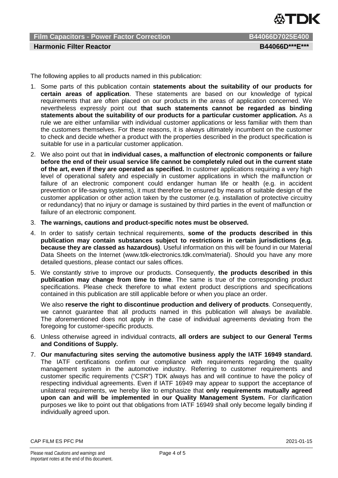

**Film Capacitors - Power Factor Correction B44066D7025E400 Harmonic Filter Reactor B44066D\*\*\*E\*\*\***

The following applies to all products named in this publication:

- 1. Some parts of this publication contain **statements about the suitability of our products for certain areas of application**. These statements are based on our knowledge of typical requirements that are often placed on our products in the areas of application concerned. We nevertheless expressly point out **that such statements cannot be regarded as binding statements about the suitability of our products for a particular customer application.** As a rule we are either unfamiliar with individual customer applications or less familiar with them than the customers themselves. For these reasons, it is always ultimately incumbent on the customer to check and decide whether a product with the properties described in the product specification is suitable for use in a particular customer application.
- 2. We also point out that **in individual cases, a malfunction of electronic components or failure before the end of their usual service life cannot be completely ruled out in the current state of the art, even if they are operated as specified.** In customer applications requiring a very high level of operational safety and especially in customer applications in which the malfunction or failure of an electronic component could endanger human life or health (e.g. in accident prevention or life-saving systems), it must therefore be ensured by means of suitable design of the customer application or other action taken by the customer (e.g. installation of protective circuitry or redundancy) that no injury or damage is sustained by third parties in the event of malfunction or failure of an electronic component.
- 3. **The warnings, cautions and product-specific notes must be observed.**
- 4. In order to satisfy certain technical requirements, **some of the products described in this publication may contain substances subject to restrictions in certain jurisdictions (e.g. because they are classed as hazardous)**. Useful information on this will be found in our Material Data Sheets on the Internet (www.tdk-electronics.tdk.com/material). Should you have any more detailed questions, please contact our sales offices.
- 5. We constantly strive to improve our products. Consequently, **the products described in this publication may change from time to time**. The same is true of the corresponding product specifications. Please check therefore to what extent product descriptions and specifications contained in this publication are still applicable before or when you place an order.

We also **reserve the right to discontinue production and delivery of products**. Consequently, we cannot guarantee that all products named in this publication will always be available. The aforementioned does not apply in the case of individual agreements deviating from the foregoing for customer-specific products.

- 6. Unless otherwise agreed in individual contracts, **all orders are subject to our General Terms and Conditions of Supply.**
- 7. **Our manufacturing sites serving the automotive business apply the IATF 16949 standard.** The IATF certifications confirm our compliance with requirements regarding the quality management system in the automotive industry. Referring to customer requirements and customer specific requirements ("CSR") TDK always has and will continue to have the policy of respecting individual agreements. Even if IATF 16949 may appear to support the acceptance of unilateral requirements, we hereby like to emphasize that **only requirements mutually agreed upon can and will be implemented in our Quality Management System.** For clarification purposes we like to point out that obligations from IATF 16949 shall only become legally binding if individually agreed upon.